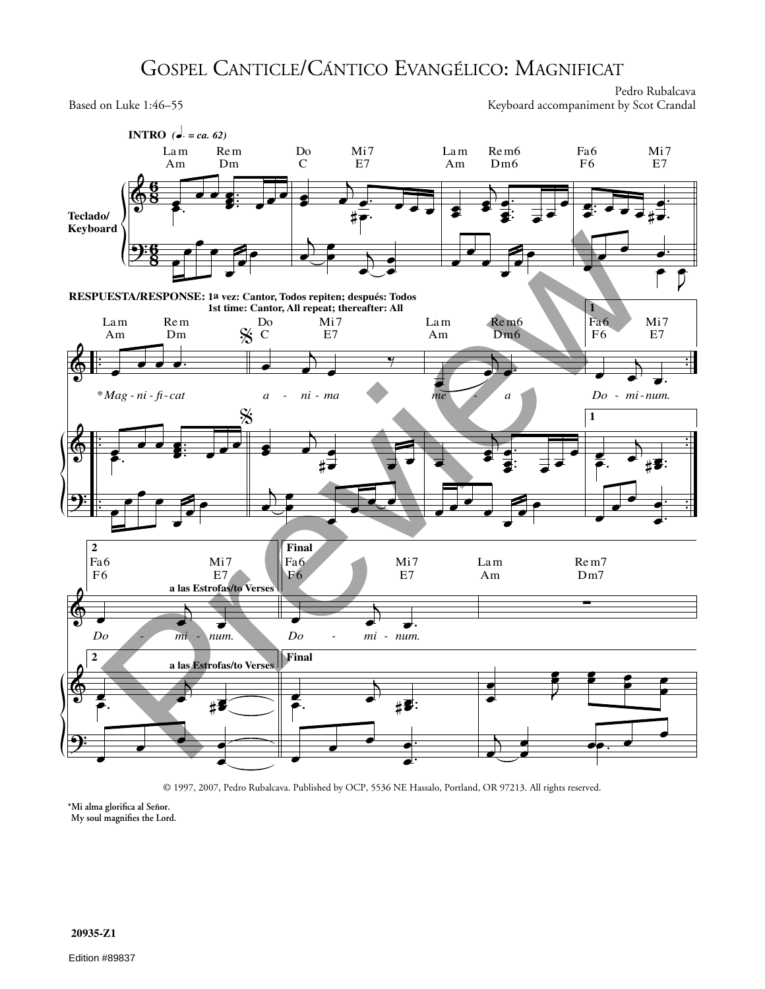## GOSPEL CANTICLE/CÁNTICO EVANGÉLICO: MAGNIFICAT

Pedro Rubalcava Based on Luke 1:46-55 Keyboard accompaniment by Scot Crandal



**\*Mi alma glorifica al Señor.**

**My soul magnifies the Lord.**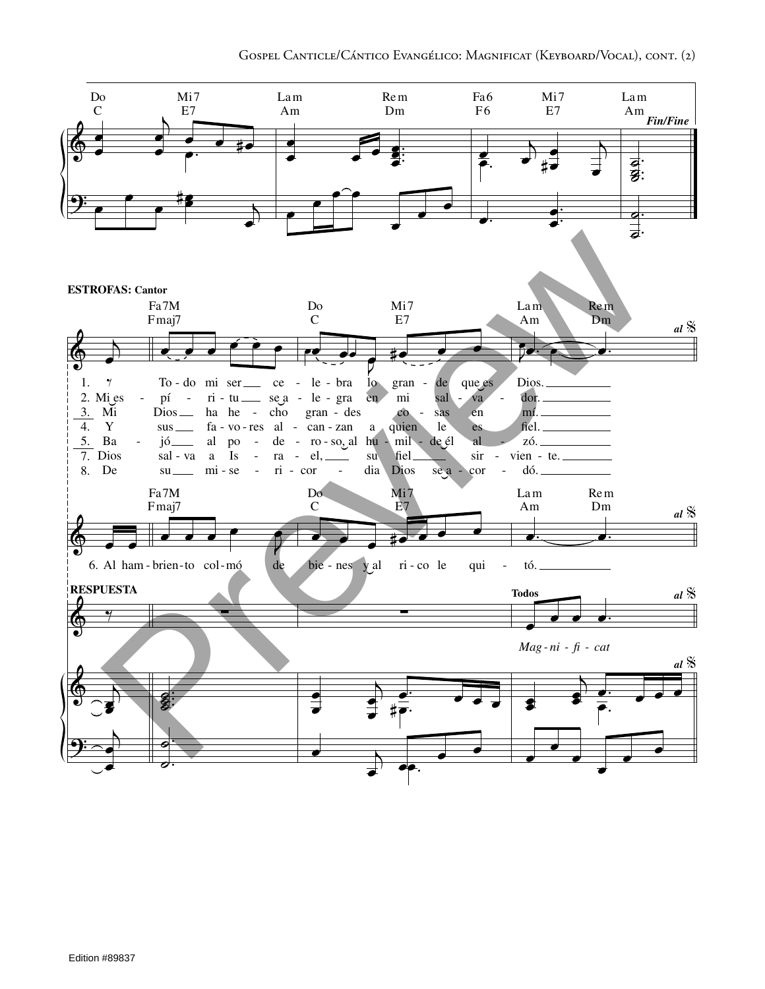